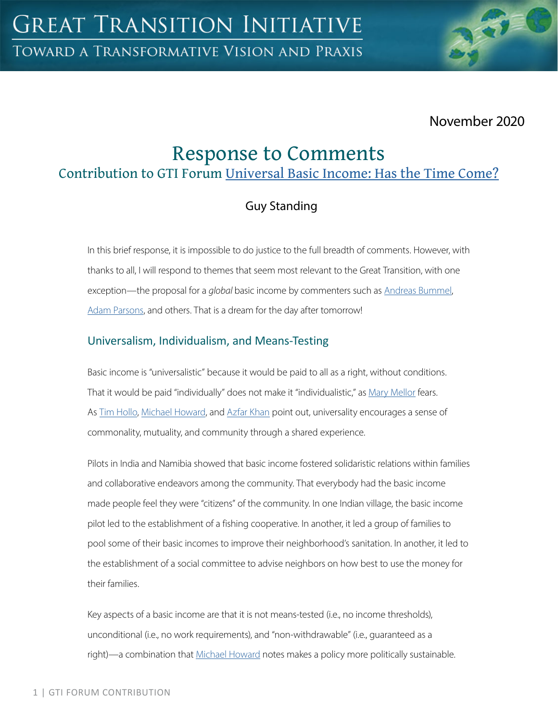

# November 2020

# Response to Comments

# Contribution to GTI Forum [Universal Basic Income: Has the Time Come?](https://greattransition.org/gti-forum/universal-basic-income)

# Guy Standing

In this brief response, it is impossible to do justice to the full breadth of comments. However, with thanks to all, I will respond to themes that seem most relevant to the Great Transition, with one exception—the proposal for a *global* basic income by commenters such as [Andreas Bummel,](https://greattransition.org/gti-forum/basic-income-bummel) [Adam Parsons,](https://greattransition.org/gti-forum/basic-income-parsons) and others. That is a dream for the day after tomorrow!

### Universalism, Individualism, and Means-Testing

Basic income is "universalistic" because it would be paid to all as a right, without conditions. That it would be paid "individually" does not make it "individualistic," as [Mary Mellor](https://greattransition.org/gti-forum/basic-income-mellor) fears. As [Tim Hollo,](https://greattransition.org/gti-forum/basic-income-hollo) [Michael Howard,](https://greattransition.org/gti-forum/basic-income-howard) and [Azfar Khan](https://greattransition.org/gti-forum/basic-income-khan) point out, universality encourages a sense of commonality, mutuality, and community through a shared experience.

Pilots in India and Namibia showed that basic income fostered solidaristic relations within families and collaborative endeavors among the community. That everybody had the basic income made people feel they were "citizens" of the community. In one Indian village, the basic income pilot led to the establishment of a fishing cooperative. In another, it led a group of families to pool some of their basic incomes to improve their neighborhood's sanitation. In another, it led to the establishment of a social committee to advise neighbors on how best to use the money for their families.

Key aspects of a basic income are that it is not means-tested (i.e., no income thresholds), unconditional (i.e., no work requirements), and "non-withdrawable" (i.e., guaranteed as a right)—a combination that [Michael Howard](https://greattransition.org/gti-forum/basic-income-howard) notes makes a policy more politically sustainable.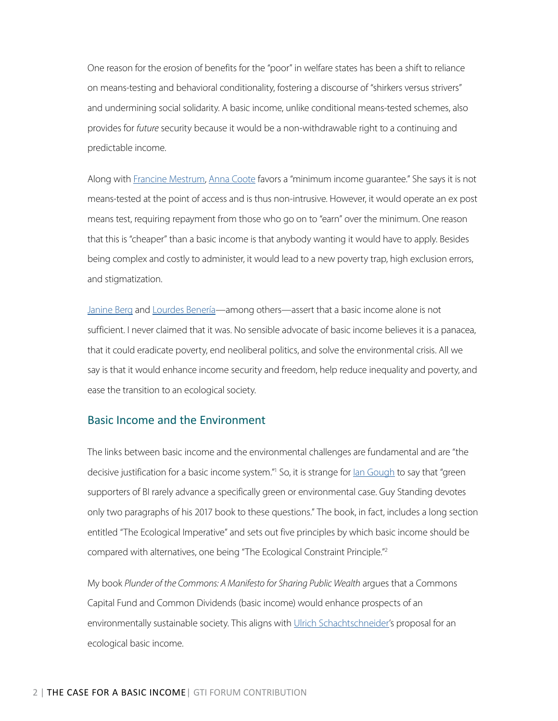One reason for the erosion of benefits for the "poor" in welfare states has been a shift to reliance on means-testing and behavioral conditionality, fostering a discourse of "shirkers versus strivers" and undermining social solidarity. A basic income, unlike conditional means-tested schemes, also provides for *future* security because it would be a non-withdrawable right to a continuing and predictable income.

Along with [Francine Mestrum,](https://greattransition.org/gti-forum/basic-income-mestrum) [Anna Coote](https://greattransition.org/gti-forum/basic-income-coote) favors a "minimum income guarantee." She says it is not means-tested at the point of access and is thus non-intrusive. However, it would operate an ex post means test, requiring repayment from those who go on to "earn" over the minimum. One reason that this is "cheaper" than a basic income is that anybody wanting it would have to apply. Besides being complex and costly to administer, it would lead to a new poverty trap, high exclusion errors, and stigmatization.

[Janine Berg](https://greattransition.org/gti-forum/basic-income-berg) and [Lourdes Benería—](https://greattransition.org/gti-forum/basic-income-beneria)among others—assert that a basic income alone is not sufficient. I never claimed that it was. No sensible advocate of basic income believes it is a panacea, that it could eradicate poverty, end neoliberal politics, and solve the environmental crisis. All we say is that it would enhance income security and freedom, help reduce inequality and poverty, and ease the transition to an ecological society.

### Basic Income and the Environment

The links between basic income and the environmental challenges are fundamental and are "the decisive justification for a basic income system."<sup>1</sup> So, it is strange for <u>lan Gough</u> to say that "green supporters of BI rarely advance a specifically green or environmental case. Guy Standing devotes only two paragraphs of his 2017 book to these questions." The book, in fact, includes a long section entitled "The Ecological Imperative" and sets out five principles by which basic income should be compared with alternatives, one being "The Ecological Constraint Principle."2

My book *Plunder of the Commons: A Manifesto for Sharing Public Wealth* argues that a Commons Capital Fund and Common Dividends (basic income) would enhance prospects of an environmentally sustainable society. This aligns with [Ulrich Schachtschneider](https://greattransition.org/gti-forum/basic-income-schachtschneider)'s proposal for an ecological basic income.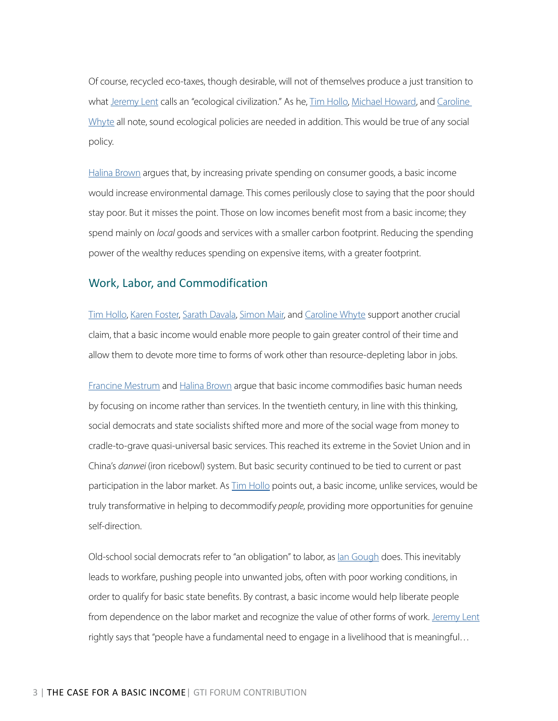Of course, recycled eco-taxes, though desirable, will not of themselves produce a just transition to what [Jeremy Lent](https://greattransition.org/gti-forum/basic-income-lent) calls an "ecological civilization." As he, [Tim Hollo,](https://greattransition.org/gti-forum/basic-income-hollo) [Michael Howard,](https://greattransition.org/gti-forum/basic-income-howard) and Caroline [Whyte](https://greattransition.org/gti-forum/basic-income-whyte) all note, sound ecological policies are needed in addition. This would be true of any social policy.

[Halina Brown](https://greattransition.org/gti-forum/basic-income-brown) argues that, by increasing private spending on consumer goods, a basic income would increase environmental damage. This comes perilously close to saying that the poor should stay poor. But it misses the point. Those on low incomes benefit most from a basic income; they spend mainly on *local* goods and services with a smaller carbon footprint. Reducing the spending power of the wealthy reduces spending on expensive items, with a greater footprint.

#### Work, Labor, and Commodification

[Tim Hollo,](https://greattransition.org/gti-forum/basic-income-hollo) [Karen Foster](https://greattransition.org/gti-forum/basic-income-foster), [Sarath Davala,](https://greattransition.org/gti-forum/basic-income-davala) [Simon Mair](https://greattransition.org/gti-forum/basic-income-mair), and [Caroline Whyte](https://greattransition.org/gti-forum/basic-income-whyte) support another crucial claim, that a basic income would enable more people to gain greater control of their time and allow them to devote more time to forms of work other than resource-depleting labor in jobs.

[Francine Mestrum](https://greattransition.org/gti-forum/basic-income-mestrum) and [Halina Brown](https://greattransition.org/gti-forum/basic-income-brown) argue that basic income commodifies basic human needs by focusing on income rather than services. In the twentieth century, in line with this thinking, social democrats and state socialists shifted more and more of the social wage from money to cradle-to-grave quasi-universal basic services. This reached its extreme in the Soviet Union and in China's *danwei* (iron ricebowl) system. But basic security continued to be tied to current or past participation in the labor market. As **Tim Hollo points out**, a basic income, unlike services, would be truly transformative in helping to decommodify *people*, providing more opportunities for genuine self-direction.

Old-school social democrats refer to "an obligation" to labor, as [Ian Gough](https://greattransition.org/gti-forum/basic-income-gough) does. This inevitably leads to workfare, pushing people into unwanted jobs, often with poor working conditions, in order to qualify for basic state benefits. By contrast, a basic income would help liberate people from dependence on the labor market and recognize the value of other forms of work. [Jeremy Lent](https://greattransition.org/gti-forum/basic-income-lent) rightly says that "people have a fundamental need to engage in a livelihood that is meaningful…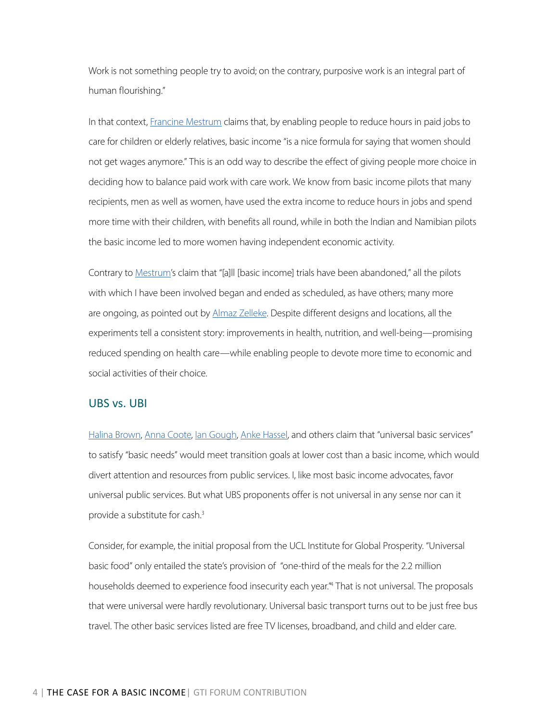Work is not something people try to avoid; on the contrary, purposive work is an integral part of human flourishing."

In that context, [Francine Mestrum](https://greattransition.org/gti-forum/basic-income-mestrum) claims that, by enabling people to reduce hours in paid jobs to care for children or elderly relatives, basic income "is a nice formula for saying that women should not get wages anymore." This is an odd way to describe the effect of giving people more choice in deciding how to balance paid work with care work. We know from basic income pilots that many recipients, men as well as women, have used the extra income to reduce hours in jobs and spend more time with their children, with benefits all round, while in both the Indian and Namibian pilots the basic income led to more women having independent economic activity.

Contrary to [Mestrum](https://greattransition.org/gti-forum/basic-income-mestrum)'s claim that "[a]ll [basic income] trials have been abandoned," all the pilots with which I have been involved began and ended as scheduled, as have others; many more are ongoing, as pointed out by [Almaz Zelleke.](https://greattransition.org/gti-forum/basic-income-zelleke) Despite different designs and locations, all the experiments tell a consistent story: improvements in health, nutrition, and well-being—promising reduced spending on health care—while enabling people to devote more time to economic and social activities of their choice.

#### UBS vs. UBI

[Halina Brown](https://greattransition.org/gti-forum/basic-income-brown), [Anna Coote,](https://greattransition.org/gti-forum/basic-income-coote) [Ian Gough,](https://greattransition.org/gti-forum/basic-income-gough) [Anke Hassel,](https://greattransition.org/gti-forum/basic-income-hassel) and others claim that "universal basic services" to satisfy "basic needs" would meet transition goals at lower cost than a basic income, which would divert attention and resources from public services. I, like most basic income advocates, favor universal public services. But what UBS proponents offer is not universal in any sense nor can it provide a substitute for cash.<sup>3</sup>

Consider, for example, the initial proposal from the UCL Institute for Global Prosperity. "Universal basic food" only entailed the state's provision of "one-third of the meals for the 2.2 million households deemed to experience food insecurity each year."4 That is not universal. The proposals that were universal were hardly revolutionary. Universal basic transport turns out to be just free bus travel. The other basic services listed are free TV licenses, broadband, and child and elder care.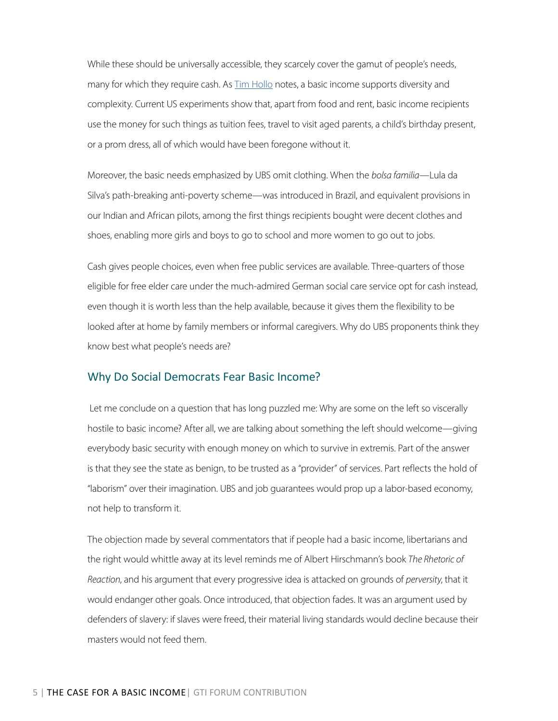While these should be universally accessible, they scarcely cover the gamut of people's needs, many for which they require cash. As  $\overline{\text{I} \text{im} }$  Hollo notes, a basic income supports diversity and complexity. Current US experiments show that, apart from food and rent, basic income recipients use the money for such things as tuition fees, travel to visit aged parents, a child's birthday present, or a prom dress, all of which would have been foregone without it.

Moreover, the basic needs emphasized by UBS omit clothing. When the *bolsa familia*—Lula da Silva's path-breaking anti-poverty scheme—was introduced in Brazil, and equivalent provisions in our Indian and African pilots, among the first things recipients bought were decent clothes and shoes, enabling more girls and boys to go to school and more women to go out to jobs.

Cash gives people choices, even when free public services are available. Three-quarters of those eligible for free elder care under the much-admired German social care service opt for cash instead, even though it is worth less than the help available, because it gives them the flexibility to be looked after at home by family members or informal caregivers. Why do UBS proponents think they know best what people's needs are?

#### Why Do Social Democrats Fear Basic Income?

 Let me conclude on a question that has long puzzled me: Why are some on the left so viscerally hostile to basic income? After all, we are talking about something the left should welcome—giving everybody basic security with enough money on which to survive in extremis. Part of the answer is that they see the state as benign, to be trusted as a "provider" of services. Part reflects the hold of "laborism" over their imagination. UBS and job guarantees would prop up a labor-based economy, not help to transform it.

The objection made by several commentators that if people had a basic income, libertarians and the right would whittle away at its level reminds me of Albert Hirschmann's book *The Rhetoric of Reaction*, and his argument that every progressive idea is attacked on grounds of *perversity*, that it would endanger other goals. Once introduced, that objection fades. It was an argument used by defenders of slavery: if slaves were freed, their material living standards would decline because their masters would not feed them.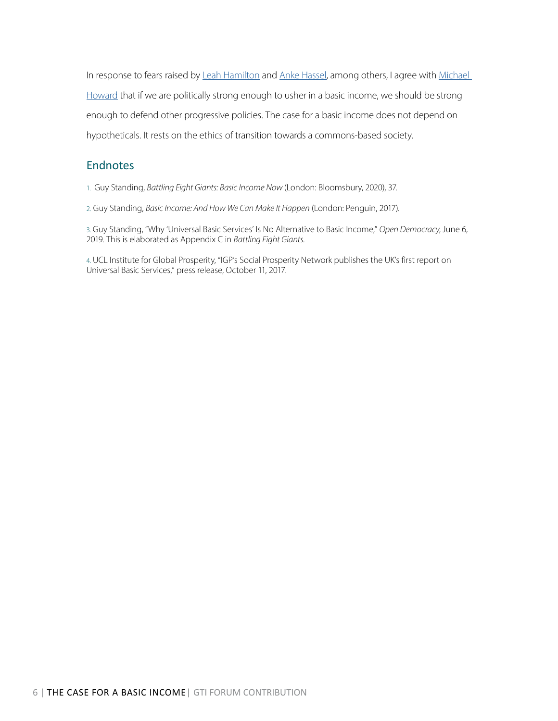In response to fears raised by [Leah Hamilton](https://greattransition.org/gti-forum/basic-income-hamilton) and [Anke Hassel](https://greattransition.org/gti-forum/basic-income-hassel), among others, I agree with Michael [Howard](https://greattransition.org/gti-forum/basic-income-howard) that if we are politically strong enough to usher in a basic income, we should be strong enough to defend other progressive policies. The case for a basic income does not depend on hypotheticals. It rests on the ethics of transition towards a commons-based society.

### **Endnotes**

1. Guy Standing, *Battling Eight Giants: Basic Income Now* (London: Bloomsbury, 2020), 37.

2. Guy Standing, *Basic Income: And How We Can Make It Happen* (London: Penguin, 2017).

3. Guy Standing, "Why 'Universal Basic Services' Is No Alternative to Basic Income," *Open Democracy*, June 6, 2019. This is elaborated as Appendix C in *Battling Eight Giants*.

4. UCL Institute for Global Prosperity, "IGP's Social Prosperity Network publishes the UK's first report on Universal Basic Services," press release, October 11, 2017.